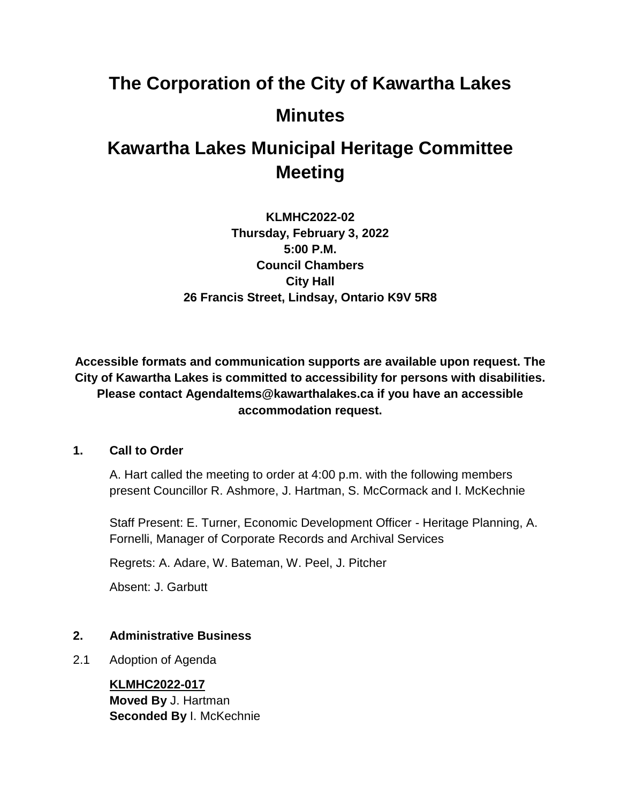# **The Corporation of the City of Kawartha Lakes Minutes**

# **Kawartha Lakes Municipal Heritage Committee Meeting**

**KLMHC2022-02 Thursday, February 3, 2022 5:00 P.M. Council Chambers City Hall 26 Francis Street, Lindsay, Ontario K9V 5R8**

**Accessible formats and communication supports are available upon request. The City of Kawartha Lakes is committed to accessibility for persons with disabilities. Please contact AgendaItems@kawarthalakes.ca if you have an accessible accommodation request.** 

#### **1. Call to Order**

A. Hart called the meeting to order at 4:00 p.m. with the following members present Councillor R. Ashmore, J. Hartman, S. McCormack and I. McKechnie

Staff Present: E. Turner, Economic Development Officer - Heritage Planning, A. Fornelli, Manager of Corporate Records and Archival Services

Regrets: A. Adare, W. Bateman, W. Peel, J. Pitcher

Absent: J. Garbutt

# **2. Administrative Business**

2.1 Adoption of Agenda

**KLMHC2022-017 Moved By** J. Hartman **Seconded By I. McKechnie**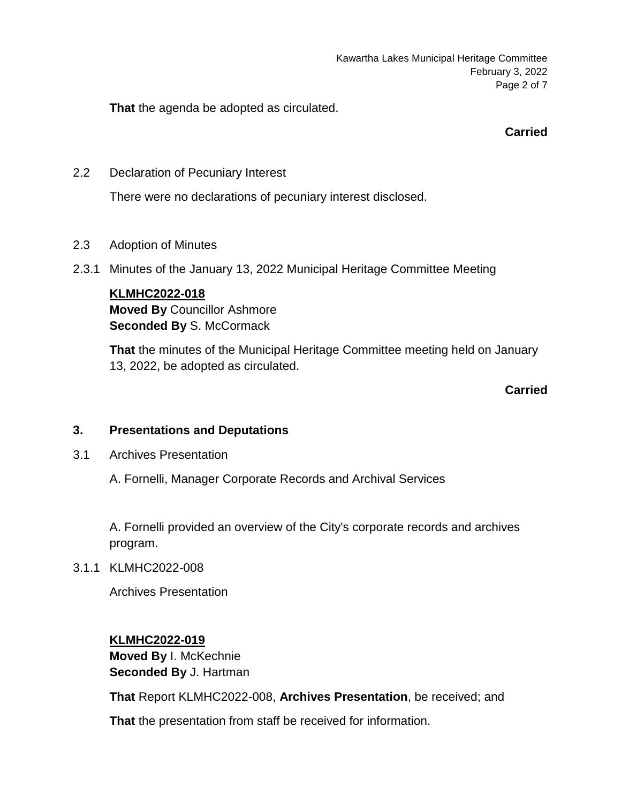Kawartha Lakes Municipal Heritage Committee February 3, 2022 Page 2 of 7

**That** the agenda be adopted as circulated.

**Carried**

2.2 Declaration of Pecuniary Interest

There were no declarations of pecuniary interest disclosed.

- 2.3 Adoption of Minutes
- 2.3.1 Minutes of the January 13, 2022 Municipal Heritage Committee Meeting

### **KLMHC2022-018**

**Moved By** Councillor Ashmore **Seconded By S. McCormack** 

**That** the minutes of the Municipal Heritage Committee meeting held on January 13, 2022, be adopted as circulated.

**Carried**

# **3. Presentations and Deputations**

3.1 Archives Presentation

A. Fornelli, Manager Corporate Records and Archival Services

A. Fornelli provided an overview of the City's corporate records and archives program.

3.1.1 KLMHC2022-008

Archives Presentation

**KLMHC2022-019 Moved By** I. McKechnie **Seconded By** J. Hartman

**That** Report KLMHC2022-008, **Archives Presentation**, be received; and

**That** the presentation from staff be received for information.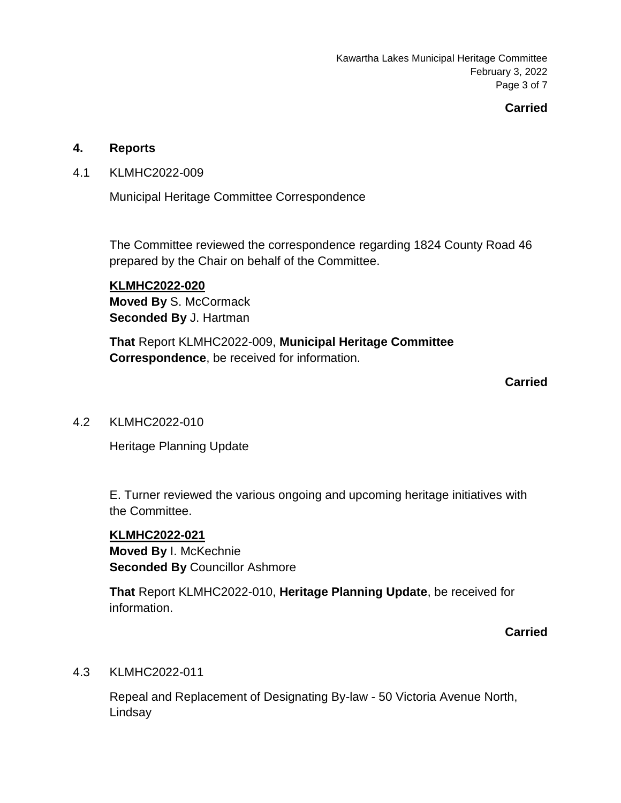Kawartha Lakes Municipal Heritage Committee February 3, 2022 Page 3 of 7

# **Carried**

#### **4. Reports**

4.1 KLMHC2022-009

Municipal Heritage Committee Correspondence

The Committee reviewed the correspondence regarding 1824 County Road 46 prepared by the Chair on behalf of the Committee.

**KLMHC2022-020 Moved By** S. McCormack **Seconded By** J. Hartman

**That** Report KLMHC2022-009, **Municipal Heritage Committee Correspondence**, be received for information.

#### **Carried**

4.2 KLMHC2022-010

Heritage Planning Update

E. Turner reviewed the various ongoing and upcoming heritage initiatives with the Committee.

#### **KLMHC2022-021**

**Moved By** I. McKechnie **Seconded By** Councillor Ashmore

**That** Report KLMHC2022-010, **Heritage Planning Update**, be received for information.

#### **Carried**

#### 4.3 KLMHC2022-011

Repeal and Replacement of Designating By-law - 50 Victoria Avenue North, Lindsay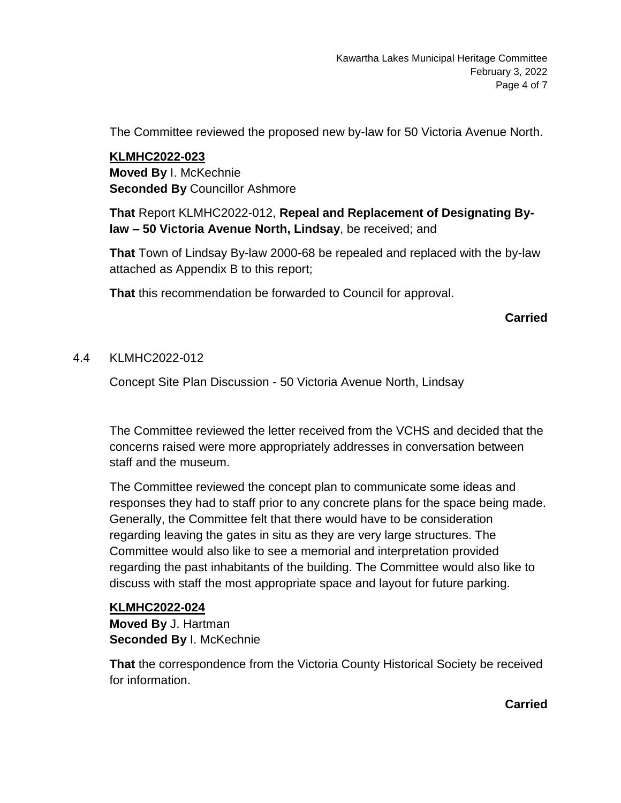The Committee reviewed the proposed new by-law for 50 Victoria Avenue North.

**KLMHC2022-023 Moved By** I. McKechnie **Seconded By** Councillor Ashmore

**That** Report KLMHC2022-012, **Repeal and Replacement of Designating Bylaw – 50 Victoria Avenue North, Lindsay**, be received; and

**That** Town of Lindsay By-law 2000-68 be repealed and replaced with the by-law attached as Appendix B to this report;

**That** this recommendation be forwarded to Council for approval.

# **Carried**

### 4.4 KLMHC2022-012

Concept Site Plan Discussion - 50 Victoria Avenue North, Lindsay

The Committee reviewed the letter received from the VCHS and decided that the concerns raised were more appropriately addresses in conversation between staff and the museum.

The Committee reviewed the concept plan to communicate some ideas and responses they had to staff prior to any concrete plans for the space being made. Generally, the Committee felt that there would have to be consideration regarding leaving the gates in situ as they are very large structures. The Committee would also like to see a memorial and interpretation provided regarding the past inhabitants of the building. The Committee would also like to discuss with staff the most appropriate space and layout for future parking.

#### **KLMHC2022-024**

**Moved By** J. Hartman **Seconded By** I. McKechnie

**That** the correspondence from the Victoria County Historical Society be received for information.

**Carried**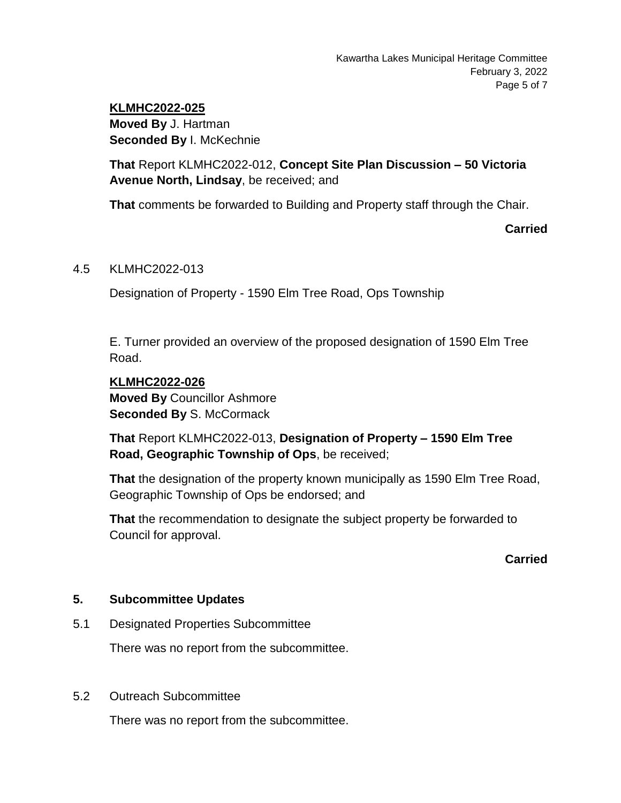# **KLMHC2022-025 Moved By** J. Hartman **Seconded By I. McKechnie**

**That** Report KLMHC2022-012, **Concept Site Plan Discussion – 50 Victoria Avenue North, Lindsay**, be received; and

**That** comments be forwarded to Building and Property staff through the Chair.

**Carried**

### 4.5 KLMHC2022-013

Designation of Property - 1590 Elm Tree Road, Ops Township

E. Turner provided an overview of the proposed designation of 1590 Elm Tree Road.

# **KLMHC2022-026**

**Moved By** Councillor Ashmore **Seconded By S. McCormack** 

**That** Report KLMHC2022-013, **Designation of Property – 1590 Elm Tree Road, Geographic Township of Ops**, be received;

**That** the designation of the property known municipally as 1590 Elm Tree Road, Geographic Township of Ops be endorsed; and

**That** the recommendation to designate the subject property be forwarded to Council for approval.

# **Carried**

# **5. Subcommittee Updates**

5.1 Designated Properties Subcommittee

There was no report from the subcommittee.

5.2 Outreach Subcommittee

There was no report from the subcommittee.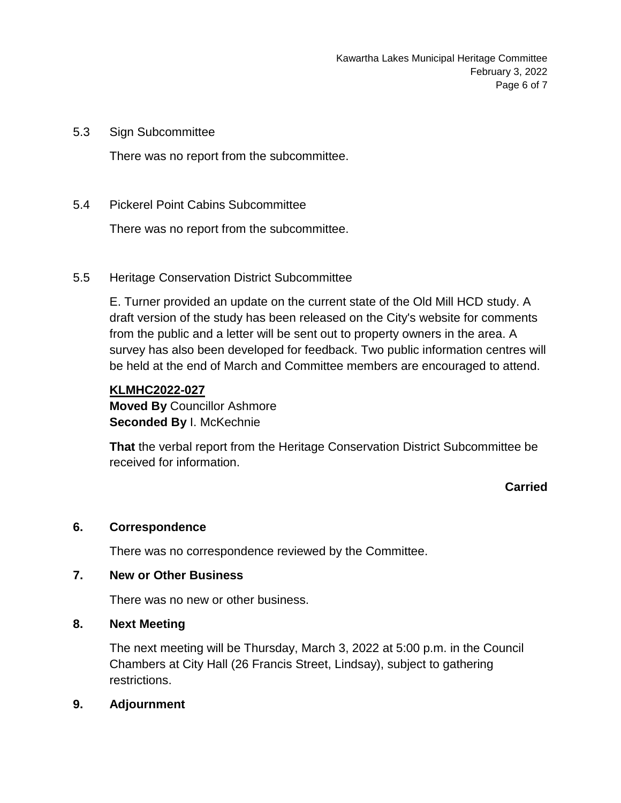5.3 Sign Subcommittee

There was no report from the subcommittee.

5.4 Pickerel Point Cabins Subcommittee

There was no report from the subcommittee.

5.5 Heritage Conservation District Subcommittee

E. Turner provided an update on the current state of the Old Mill HCD study. A draft version of the study has been released on the City's website for comments from the public and a letter will be sent out to property owners in the area. A survey has also been developed for feedback. Two public information centres will be held at the end of March and Committee members are encouraged to attend.

#### **KLMHC2022-027**

**Moved By** Councillor Ashmore **Seconded By I. McKechnie** 

**That** the verbal report from the Heritage Conservation District Subcommittee be received for information.

# **Carried**

#### **6. Correspondence**

There was no correspondence reviewed by the Committee.

## **7. New or Other Business**

There was no new or other business.

#### **8. Next Meeting**

The next meeting will be Thursday, March 3, 2022 at 5:00 p.m. in the Council Chambers at City Hall (26 Francis Street, Lindsay), subject to gathering restrictions.

**9. Adjournment**